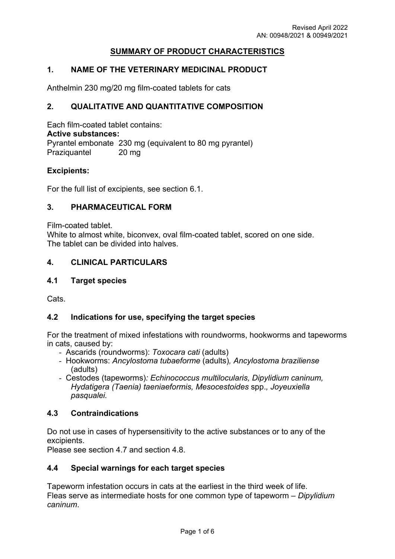# **SUMMARY OF PRODUCT CHARACTERISTICS**

## **1. NAME OF THE VETERINARY MEDICINAL PRODUCT**

Anthelmin 230 mg/20 mg film-coated tablets for cats

#### **2. QUALITATIVE AND QUANTITATIVE COMPOSITION**

Each film-coated tablet contains: **Active substances:** Pyrantel embonate 230 mg (equivalent to 80 mg pyrantel) Praziquantel 20 mg

#### **Excipients:**

For the full list of excipients, see section 6.1.

#### **3. PHARMACEUTICAL FORM**

Film-coated tablet.

White to almost white, biconvex, oval film-coated tablet, scored on one side. The tablet can be divided into halves.

#### **4. CLINICAL PARTICULARS**

#### **4.1 Target species**

Cats.

#### **4.2 Indications for use, specifying the target species**

For the treatment of mixed infestations with roundworms, hookworms and tapeworms in cats, caused by:

- Ascarids (roundworms): *Toxocara cati* (adults)
- Hookworms: *Ancylostoma tubaeforme* (adults)*, Ancylostoma braziliense* (adults)
- Cestodes (tapeworms)*: Echinococcus multilocularis, Dipylidium caninum, Hydatigera (Taenia) taeniaeformis, Mesocestoides* spp.*, Joyeuxiella pasqualei.*

#### **4.3 Contraindications**

Do not use in cases of hypersensitivity to the active substances or to any of the excipients.

Please see section 4.7 and section 4.8.

#### **4.4 Special warnings for each target species**

Tapeworm infestation occurs in cats at the earliest in the third week of life. Fleas serve as intermediate hosts for one common type of tapeworm – *Dipylidium caninum*.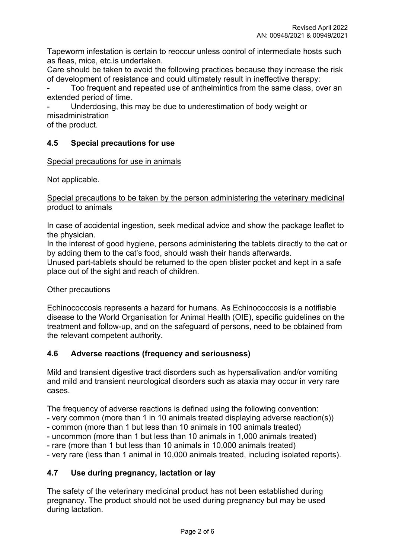Tapeworm infestation is certain to reoccur unless control of intermediate hosts such as fleas, mice, etc.is undertaken.

Care should be taken to avoid the following practices because they increase the risk of development of resistance and could ultimately result in ineffective therapy:

Too frequent and repeated use of anthelmintics from the same class, over an extended period of time.

Underdosing, this may be due to underestimation of body weight or misadministration

of the product.

# **4.5 Special precautions for use**

Special precautions for use in animals

Not applicable.

#### Special precautions to be taken by the person administering the veterinary medicinal product to animals

In case of accidental ingestion, seek medical advice and show the package leaflet to the physician.

In the interest of good hygiene, persons administering the tablets directly to the cat or by adding them to the cat's food, should wash their hands afterwards.

Unused part-tablets should be returned to the open blister pocket and kept in a safe place out of the sight and reach of children.

Other precautions

Echinococcosis represents a hazard for humans. As Echinococcosis is a notifiable disease to the World Organisation for Animal Health (OIE), specific guidelines on the treatment and follow-up, and on the safeguard of persons, need to be obtained from the relevant competent authority.

# **4.6 Adverse reactions (frequency and seriousness)**

Mild and transient digestive tract disorders such as hypersalivation and/or vomiting and mild and transient neurological disorders such as ataxia may occur in very rare cases.

The frequency of adverse reactions is defined using the following convention:

- very common (more than 1 in 10 animals treated displaying adverse reaction(s))

- common (more than 1 but less than 10 animals in 100 animals treated)

- uncommon (more than 1 but less than 10 animals in 1,000 animals treated)
- rare (more than 1 but less than 10 animals in 10,000 animals treated)

- very rare (less than 1 animal in 10,000 animals treated, including isolated reports).

## **4.7 Use during pregnancy, lactation or lay**

The safety of the veterinary medicinal product has not been established during pregnancy. The product should not be used during pregnancy but may be used during lactation.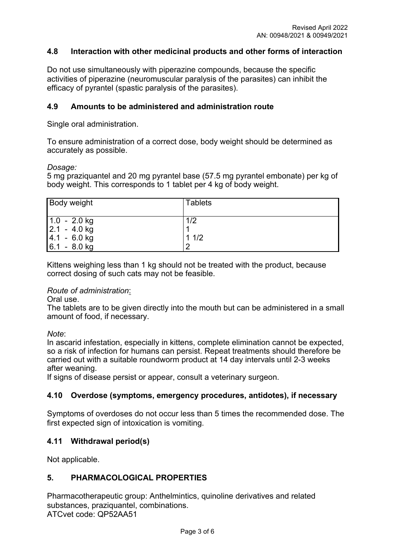## **4.8 Interaction with other medicinal products and other forms of interaction**

Do not use simultaneously with piperazine compounds, because the specific activities of piperazine (neuromuscular paralysis of the parasites) can inhibit the efficacy of pyrantel (spastic paralysis of the parasites).

## **4.9 Amounts to be administered and administration route**

Single oral administration.

To ensure administration of a correct dose, body weight should be determined as accurately as possible.

#### *Dosage:*

5 mg praziquantel and 20 mg pyrantel base (57.5 mg pyrantel embonate) per kg of body weight. This corresponds to 1 tablet per 4 kg of body weight.

| <b>Body weight</b>               | <b>Tablets</b> |  |
|----------------------------------|----------------|--|
| $1.0 - 2.0$ kg<br>$2.1 - 4.0$ kg | 1/2            |  |
| $ 4.1 - 6.0$ kg                  | 11/2           |  |
| $6.1 - 8.0$ kg                   | C              |  |

Kittens weighing less than 1 kg should not be treated with the product, because correct dosing of such cats may not be feasible.

#### *Route of administration*:

Oral use.

The tablets are to be given directly into the mouth but can be administered in a small amount of food, if necessary.

*Note*:

In ascarid infestation, especially in kittens, complete elimination cannot be expected, so a risk of infection for humans can persist. Repeat treatments should therefore be carried out with a suitable roundworm product at 14 day intervals until 2-3 weeks after weaning.

If signs of disease persist or appear, consult a veterinary surgeon.

#### **4.10 Overdose (symptoms, emergency procedures, antidotes), if necessary**

Symptoms of overdoses do not occur less than 5 times the recommended dose. The first expected sign of intoxication is vomiting.

#### **4.11 Withdrawal period(s)**

Not applicable.

#### **5. PHARMACOLOGICAL PROPERTIES**

Pharmacotherapeutic group: Anthelmintics, quinoline derivatives and related substances, praziquantel, combinations. ATCvet code: QP52AA51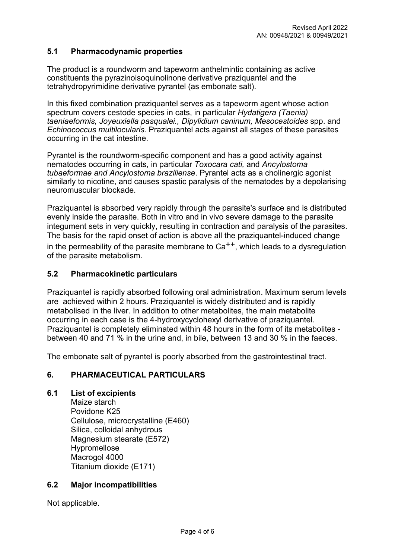## **5.1 Pharmacodynamic properties**

The product is a roundworm and tapeworm anthelmintic containing as active constituents the pyrazinoisoquinolinone derivative praziquantel and the tetrahydropyrimidine derivative pyrantel (as embonate salt).

In this fixed combination praziquantel serves as a tapeworm agent whose action spectrum covers cestode species in cats, in particular *Hydatigera (Taenia) taeniaeformis, Joyeuxiella pasqualei., Dipylidium caninum, Mesocestoides* spp. and *Echinococcus multilocularis*. Praziquantel acts against all stages of these parasites occurring in the cat intestine.

Pyrantel is the roundworm-specific component and has a good activity against nematodes occurring in cats, in particular *Toxocara cati,* and *Ancylostoma tubaeformae and Ancylostoma braziliense*. Pyrantel acts as a cholinergic agonist similarly to nicotine, and causes spastic paralysis of the nematodes by a depolarising neuromuscular blockade.

Praziquantel is absorbed very rapidly through the parasite's surface and is distributed evenly inside the parasite. Both in vitro and in vivo severe damage to the parasite integument sets in very quickly, resulting in contraction and paralysis of the parasites. The basis for the rapid onset of action is above all the praziquantel-induced change in the permeability of the parasite membrane to  $Ca^{++}$ , which leads to a dysregulation of the parasite metabolism.

## **5.2 Pharmacokinetic particulars**

Praziquantel is rapidly absorbed following oral administration. Maximum serum levels are achieved within 2 hours. Praziquantel is widely distributed and is rapidly metabolised in the liver. In addition to other metabolites, the main metabolite occurring in each case is the 4-hydroxycyclohexyl derivative of praziquantel. Praziquantel is completely eliminated within 48 hours in the form of its metabolites between 40 and 71 % in the urine and, in bile, between 13 and 30 % in the faeces.

The embonate salt of pyrantel is poorly absorbed from the gastrointestinal tract.

## **6. PHARMACEUTICAL PARTICULARS**

#### **6.1 List of excipients**

Maize starch Povidone K25 Cellulose, microcrystalline (E460) Silica, colloidal anhydrous Magnesium stearate (E572) Hypromellose Macrogol 4000 Titanium dioxide (E171)

## **6.2 Major incompatibilities**

Not applicable.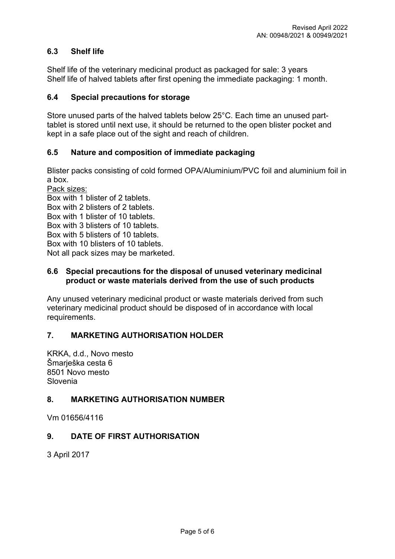# **6.3 Shelf life**

Shelf life of the veterinary medicinal product as packaged for sale: 3 years Shelf life of halved tablets after first opening the immediate packaging: 1 month.

## **6.4 Special precautions for storage**

Store unused parts of the halved tablets below 25°C. Each time an unused parttablet is stored until next use, it should be returned to the open blister pocket and kept in a safe place out of the sight and reach of children.

## **6.5 Nature and composition of immediate packaging**

Blister packs consisting of cold formed OPA/Aluminium/PVC foil and aluminium foil in a box.

Pack sizes: Box with 1 blister of 2 tablets. Box with 2 blisters of 2 tablets. Box with 1 blister of 10 tablets. Box with 3 blisters of 10 tablets. Box with 5 blisters of 10 tablets. Box with 10 blisters of 10 tablets. Not all pack sizes may be marketed.

## **6.6 Special precautions for the disposal of unused veterinary medicinal product or waste materials derived from the use of such products**

Any unused veterinary medicinal product or waste materials derived from such veterinary medicinal product should be disposed of in accordance with local requirements.

# **7. MARKETING AUTHORISATION HOLDER**

KRKA, d.d., Novo mesto Šmarješka cesta 6 8501 Novo mesto Slovenia

# **8. MARKETING AUTHORISATION NUMBER**

Vm 01656/4116

## **9. DATE OF FIRST AUTHORISATION**

3 April 2017